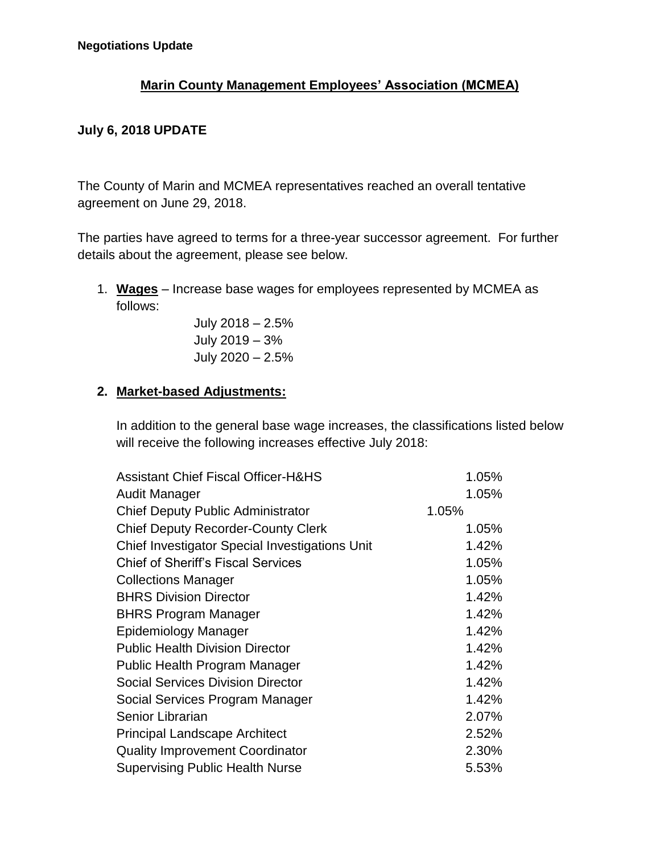# **Marin County Management Employees' Association (MCMEA)**

## **July 6, 2018 UPDATE**

The County of Marin and MCMEA representatives reached an overall tentative agreement on June 29, 2018.

The parties have agreed to terms for a three-year successor agreement. For further details about the agreement, please see below.

1. **Wages** – Increase base wages for employees represented by MCMEA as follows:

> July 2018 – 2.5% July 2019 – 3% July 2020 – 2.5%

### **2. Market-based Adjustments:**

In addition to the general base wage increases, the classifications listed below will receive the following increases effective July 2018:

| <b>Assistant Chief Fiscal Officer-H&amp;HS</b> | 1.05% |
|------------------------------------------------|-------|
| Audit Manager                                  | 1.05% |
| <b>Chief Deputy Public Administrator</b>       | 1.05% |
| <b>Chief Deputy Recorder-County Clerk</b>      | 1.05% |
| Chief Investigator Special Investigations Unit | 1.42% |
| <b>Chief of Sheriff's Fiscal Services</b>      | 1.05% |
| <b>Collections Manager</b>                     | 1.05% |
| <b>BHRS Division Director</b>                  | 1.42% |
| <b>BHRS Program Manager</b>                    | 1.42% |
| Epidemiology Manager                           | 1.42% |
| <b>Public Health Division Director</b>         | 1.42% |
| Public Health Program Manager                  | 1.42% |
| <b>Social Services Division Director</b>       | 1.42% |
| Social Services Program Manager                | 1.42% |
| Senior Librarian                               | 2.07% |
| Principal Landscape Architect                  | 2.52% |
| <b>Quality Improvement Coordinator</b>         | 2.30% |
| <b>Supervising Public Health Nurse</b>         | 5.53% |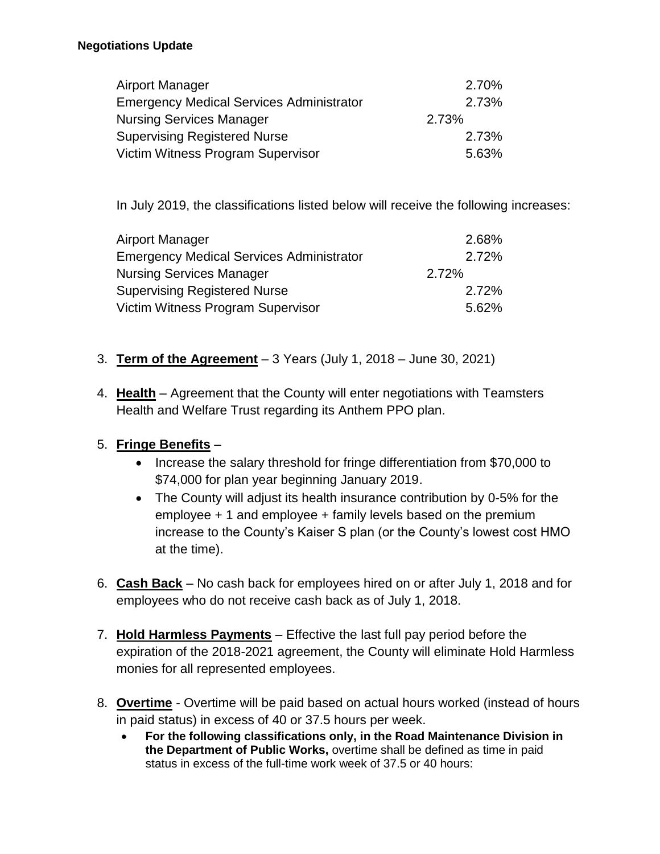#### **Negotiations Update**

| Airport Manager                                 | 2.70% |
|-------------------------------------------------|-------|
| <b>Emergency Medical Services Administrator</b> | 2.73% |
| <b>Nursing Services Manager</b>                 | 2.73% |
| <b>Supervising Registered Nurse</b>             | 2.73% |
| Victim Witness Program Supervisor               | 5.63% |

In July 2019, the classifications listed below will receive the following increases:

| Airport Manager                                 | 2.68% |
|-------------------------------------------------|-------|
| <b>Emergency Medical Services Administrator</b> | 2.72% |
| <b>Nursing Services Manager</b>                 | 2.72% |
| <b>Supervising Registered Nurse</b>             | 2.72% |
| Victim Witness Program Supervisor               | 5.62% |

- 3. **Term of the Agreement** 3 Years (July 1, 2018 June 30, 2021)
- 4. **Health** Agreement that the County will enter negotiations with Teamsters Health and Welfare Trust regarding its Anthem PPO plan.

### 5. **Fringe Benefits** –

- Increase the salary threshold for fringe differentiation from \$70,000 to \$74,000 for plan year beginning January 2019.
- The County will adjust its health insurance contribution by 0-5% for the employee + 1 and employee + family levels based on the premium increase to the County's Kaiser S plan (or the County's lowest cost HMO at the time).
- 6. **Cash Back** No cash back for employees hired on or after July 1, 2018 and for employees who do not receive cash back as of July 1, 2018.
- 7. **Hold Harmless Payments** Effective the last full pay period before the expiration of the 2018-2021 agreement, the County will eliminate Hold Harmless monies for all represented employees.
- 8. **Overtime** Overtime will be paid based on actual hours worked (instead of hours in paid status) in excess of 40 or 37.5 hours per week.
	- **For the following classifications only, in the Road Maintenance Division in the Department of Public Works,** overtime shall be defined as time in paid status in excess of the full-time work week of 37.5 or 40 hours: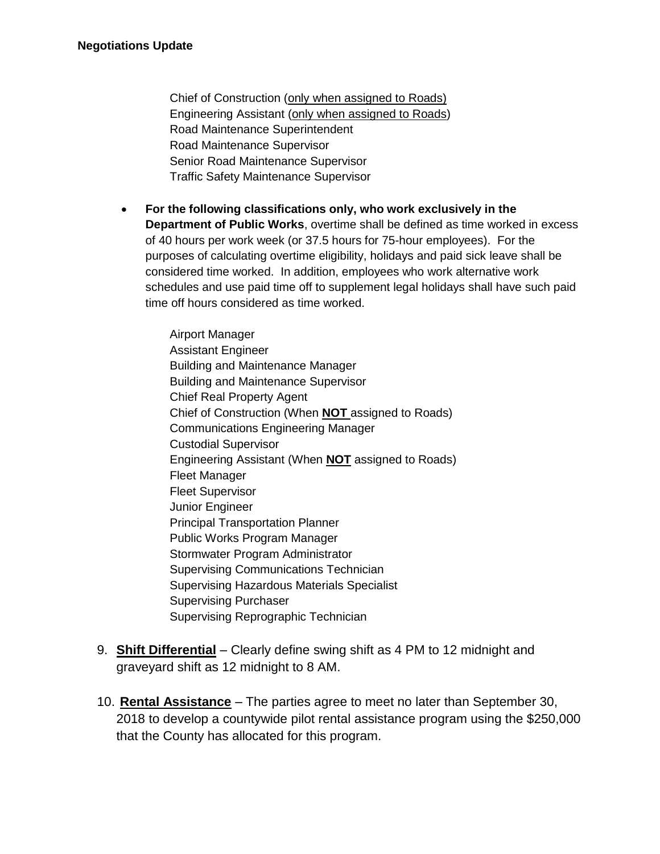Chief of Construction (only when assigned to Roads) Engineering Assistant (only when assigned to Roads) Road Maintenance Superintendent Road Maintenance Supervisor Senior Road Maintenance Supervisor Traffic Safety Maintenance Supervisor

• **For the following classifications only, who work exclusively in the Department of Public Works**, overtime shall be defined as time worked in excess of 40 hours per work week (or 37.5 hours for 75-hour employees). For the purposes of calculating overtime eligibility, holidays and paid sick leave shall be considered time worked. In addition, employees who work alternative work schedules and use paid time off to supplement legal holidays shall have such paid time off hours considered as time worked.

Airport Manager Assistant Engineer Building and Maintenance Manager Building and Maintenance Supervisor Chief Real Property Agent Chief of Construction (When **NOT** assigned to Roads) Communications Engineering Manager Custodial Supervisor Engineering Assistant (When **NOT** assigned to Roads) Fleet Manager Fleet Supervisor Junior Engineer Principal Transportation Planner Public Works Program Manager Stormwater Program Administrator Supervising Communications Technician Supervising Hazardous Materials Specialist Supervising Purchaser Supervising Reprographic Technician

- 9. **Shift Differential** Clearly define swing shift as 4 PM to 12 midnight and graveyard shift as 12 midnight to 8 AM.
- 10. **Rental Assistance** The parties agree to meet no later than September 30, 2018 to develop a countywide pilot rental assistance program using the \$250,000 that the County has allocated for this program.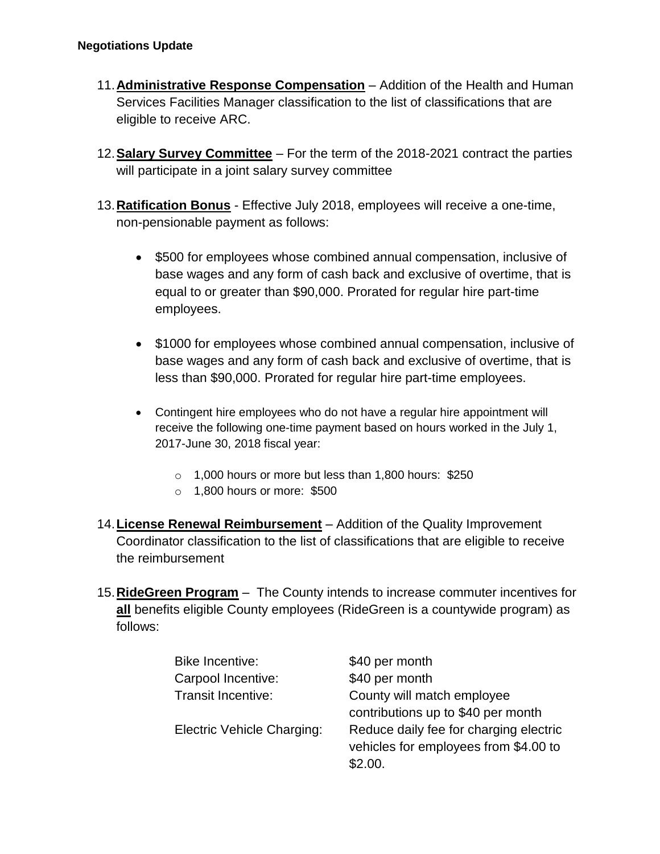- 11.**Administrative Response Compensation** Addition of the Health and Human Services Facilities Manager classification to the list of classifications that are eligible to receive ARC.
- 12.**Salary Survey Committee** For the term of the 2018-2021 contract the parties will participate in a joint salary survey committee
- 13.**Ratification Bonus** Effective July 2018, employees will receive a one-time, non-pensionable payment as follows:
	- \$500 for employees whose combined annual compensation, inclusive of base wages and any form of cash back and exclusive of overtime, that is equal to or greater than \$90,000. Prorated for regular hire part-time employees.
	- \$1000 for employees whose combined annual compensation, inclusive of base wages and any form of cash back and exclusive of overtime, that is less than \$90,000. Prorated for regular hire part-time employees.
	- Contingent hire employees who do not have a regular hire appointment will receive the following one-time payment based on hours worked in the July 1, 2017-June 30, 2018 fiscal year:
		- o 1,000 hours or more but less than 1,800 hours: \$250
		- o 1,800 hours or more: \$500
- 14.**License Renewal Reimbursement** Addition of the Quality Improvement Coordinator classification to the list of classifications that are eligible to receive the reimbursement
- 15.**RideGreen Program** The County intends to increase commuter incentives for **all** benefits eligible County employees (RideGreen is a countywide program) as follows:

| <b>Bike Incentive:</b>     | \$40 per month                                                                             |
|----------------------------|--------------------------------------------------------------------------------------------|
| Carpool Incentive:         | \$40 per month                                                                             |
| <b>Transit Incentive:</b>  | County will match employee                                                                 |
|                            | contributions up to \$40 per month                                                         |
| Electric Vehicle Charging: | Reduce daily fee for charging electric<br>vehicles for employees from \$4.00 to<br>\$2.00. |